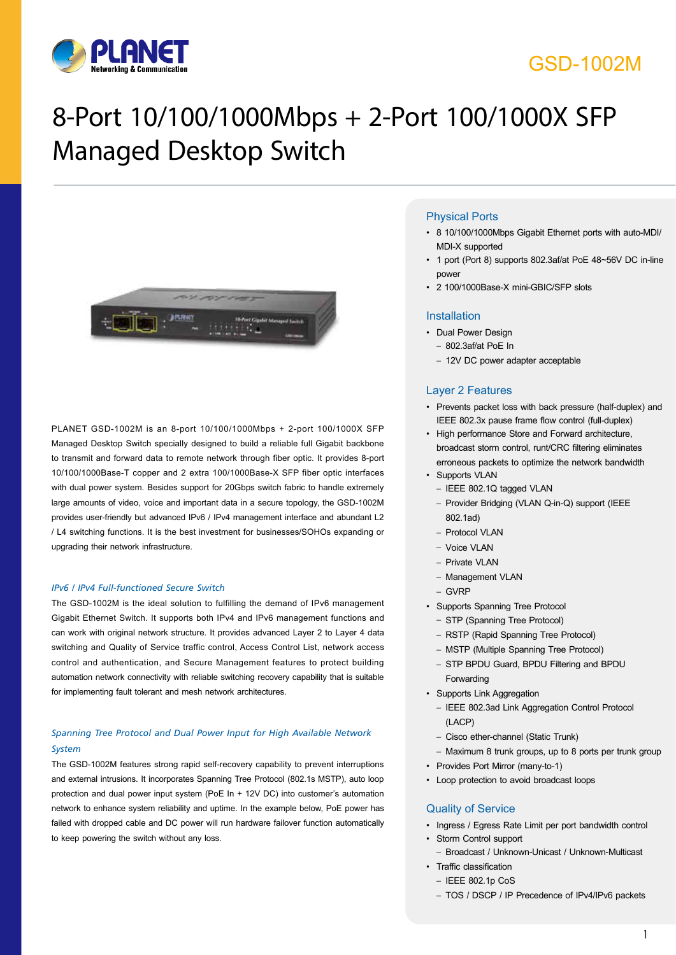

### GSD-1002M

# 8-Port 10/100/1000Mbps + 2-Port 100/1000X SFP Managed Desktop Switch



PLANET GSD-1002M is an 8-port 10/100/1000Mbps + 2-port 100/1000X SFP Managed Desktop Switch specially designed to build a reliable full Gigabit backbone to transmit and forward data to remote network through fiber optic. It provides 8-port 10/100/1000Base-T copper and 2 extra 100/1000Base-X SFP fiber optic interfaces with dual power system. Besides support for 20Gbps switch fabric to handle extremely large amounts of video, voice and important data in a secure topology, the GSD-1002M provides user-friendly but advanced IPv6 / IPv4 management interface and abundant L2 / L4 switching functions. It is the best investment for businesses/SOHOs expanding or upgrading their network infrastructure.

#### *IPv6 / IPv4 Full-functioned Secure Switch*

The GSD-1002M is the ideal solution to fulfilling the demand of IPv6 management Gigabit Ethernet Switch. It supports both IPv4 and IPv6 management functions and can work with original network structure. It provides advanced Layer 2 to Layer 4 data switching and Quality of Service traffic control, Access Control List, network access control and authentication, and Secure Management features to protect building automation network connectivity with reliable switching recovery capability that is suitable for implementing fault tolerant and mesh network architectures.

#### *Spanning Tree Protocol and Dual Power Input for High Available Network System*

The GSD-1002M features strong rapid self-recovery capability to prevent interruptions and external intrusions. It incorporates Spanning Tree Protocol (802.1s MSTP), auto loop protection and dual power input system (PoE In + 12V DC) into customer's automation network to enhance system reliability and uptime. In the example below, PoE power has failed with dropped cable and DC power will run hardware failover function automatically to keep powering the switch without any loss.

#### Physical Ports

- • 8 10/100/1000Mbps Gigabit Ethernet ports with auto-MDI/ MDI-X supported
- 1 port (Port 8) supports 802.3af/at PoE 48~56V DC in-line power
- 2 100/1000Base-X mini-GBIC/SFP slots

#### Installation

- • Dual Power Design
- 802.3af/at PoE In
- 12V DC power adapter acceptable

#### Layer 2 Features

- • Prevents packet loss with back pressure (half-duplex) and IEEE 802.3x pause frame flow control (full-duplex)
- High performance Store and Forward architecture. broadcast storm control, runt/CRC filtering eliminates erroneous packets to optimize the network bandwidth • Supports VLAN
	- IEEE 802.1Q tagged VLAN
	- Provider Bridging (VLAN Q-in-Q) support (IEEE 802.1ad)
	- Protocol VLAN
	- Voice VLAN
	- Private VLAN
	- Management VLAN
	- GVRP
- • Supports Spanning Tree Protocol
	- STP (Spanning Tree Protocol)
	- RSTP (Rapid Spanning Tree Protocol)
	- MSTP (Multiple Spanning Tree Protocol)
	- STP BPDU Guard, BPDU Filtering and BPDU Forwarding
- • Supports Link Aggregation
- IEEE 802.3ad Link Aggregation Control Protocol (LACP)
- Cisco ether-channel (Static Trunk)
- Maximum 8 trunk groups, up to 8 ports per trunk group
- Provides Port Mirror (many-to-1)
- • Loop protection to avoid broadcast loops

#### Quality of Service

- • Ingress / Egress Rate Limit per port bandwidth control
- • Storm Control support
- Broadcast / Unknown-Unicast / Unknown-Multicast
- • Traffic classification
	- IEEE 802.1p CoS
	- TOS / DSCP / IP Precedence of IPv4/IPv6 packets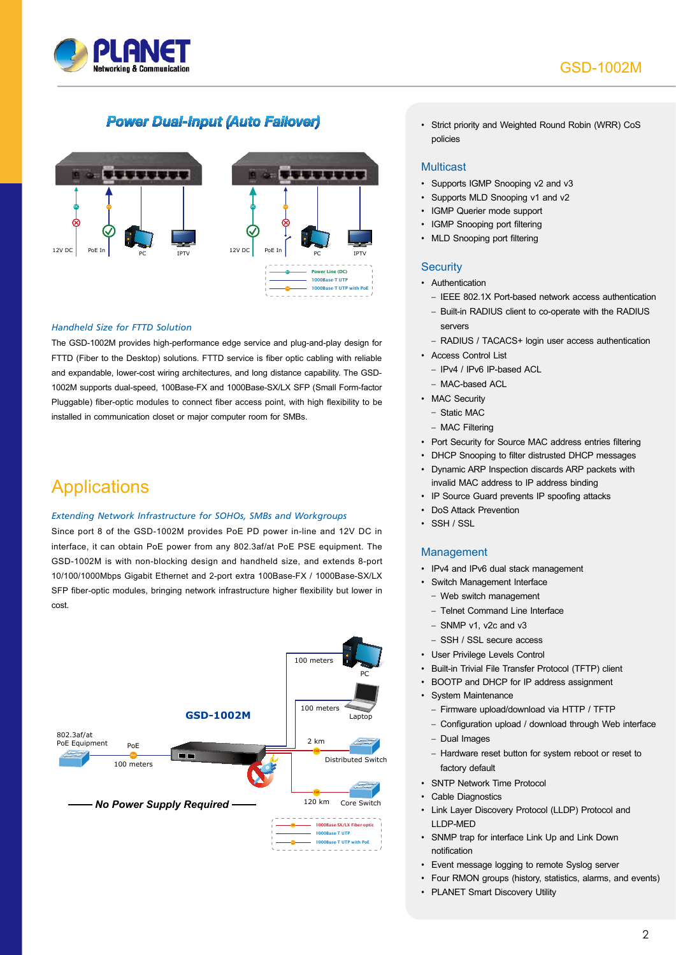

### **Power Dual-Input (Auto Failover)**



#### *Handheld Size for FTTD Solution*

The GSD-1002M provides high-performance edge service and plug-and-play design for FTTD (Fiber to the Desktop) solutions. FTTD service is fiber optic cabling with reliable and expandable, lower-cost wiring architectures, and long distance capability. The GSD-1002M supports dual-speed, 100Base-FX and 1000Base-SX/LX SFP (Small Form-factor Pluggable) fiber-optic modules to connect fiber access point, with high flexibility to be installed in communication closet or major computer room for SMBs.

### **Applications**

#### *Extending Network Infrastructure for SOHOs, SMBs and Workgroups*

Since port 8 of the GSD-1002M provides PoE PD power in-line and 12V DC in interface, it can obtain PoE power from any 802.3af/at PoE PSE equipment. The GSD-1002M is with non-blocking design and handheld size, and extends 8-port 10/100/1000Mbps Gigabit Ethernet and 2-port extra 100Base-FX / 1000Base-SX/LX SFP fiber-optic modules, bringing network infrastructure higher flexibility but lower in cost.



• Strict priority and Weighted Round Robin (WRR) CoS policies

#### Multicast

- Supports IGMP Snooping v2 and v3
- Supports MLD Snooping v1 and v2
- • IGMP Querier mode support
- IGMP Snooping port filtering
- MLD Snooping port filtering

#### **Security**

- Authentication
	- IEEE 802.1X Port-based network access authentication
- Built-in RADIUS client to co-operate with the RADIUS servers
- RADIUS / TACACS+ login user access authentication
- • Access Control List
	- IPv4 / IPv6 IP-based ACL
	- MAC-based ACL
- MAC Security
	- Static MAC
	- MAC Filtering
- Port Security for Source MAC address entries filtering
- DHCP Snooping to filter distrusted DHCP messages
- • Dynamic ARP Inspection discards ARP packets with invalid MAC address to IP address binding
- IP Source Guard prevents IP spoofing attacks
- DoS Attack Prevention
- SSH / SSL

### Management

- • IPv4 and IPv6 dual stack management
- • Switch Management Interface
	- Web switch management
	- Telnet Command Line Interface
	- SNMP v1, v2c and v3
- SSH / SSL secure access
- • User Privilege Levels Control
- Built-in Trivial File Transfer Protocol (TFTP) client
- • BOOTP and DHCP for IP address assignment
- • System Maintenance
	- Firmware upload/download via HTTP / TFTP
	- Configuration upload / download through Web interface
	- Dual Images
	- Hardware reset button for system reboot or reset to factory default
- • SNTP Network Time Protocol
- • Cable Diagnostics
- • Link Layer Discovery Protocol (LLDP) Protocol and LLDP-MED
- SNMP trap for interface Link Up and Link Down notification
- Event message logging to remote Syslog server
- • Four RMON groups (history, statistics, alarms, and events)
- PLANET Smart Discovery Utility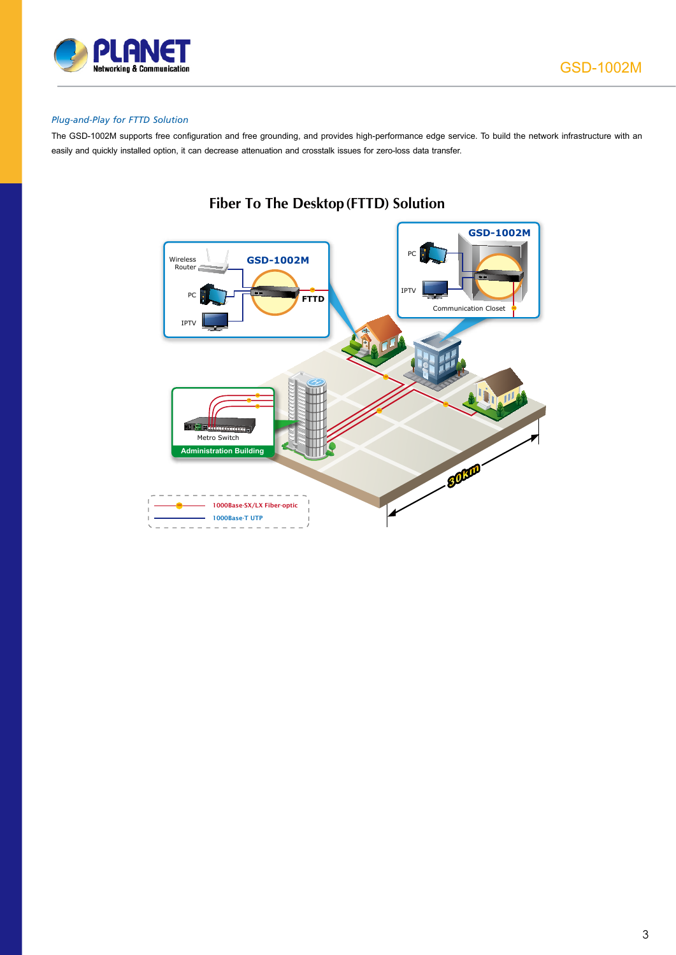

#### *Plug-and-Play for FTTD Solution*

The GSD-1002M supports free configuration and free grounding, and provides high-performance edge service. To build the network infrastructure with an easily and quickly installed option, it can decrease attenuation and crosstalk issues for zero-loss data transfer.



### **Fiber To The Desktop (FTTD) Solution**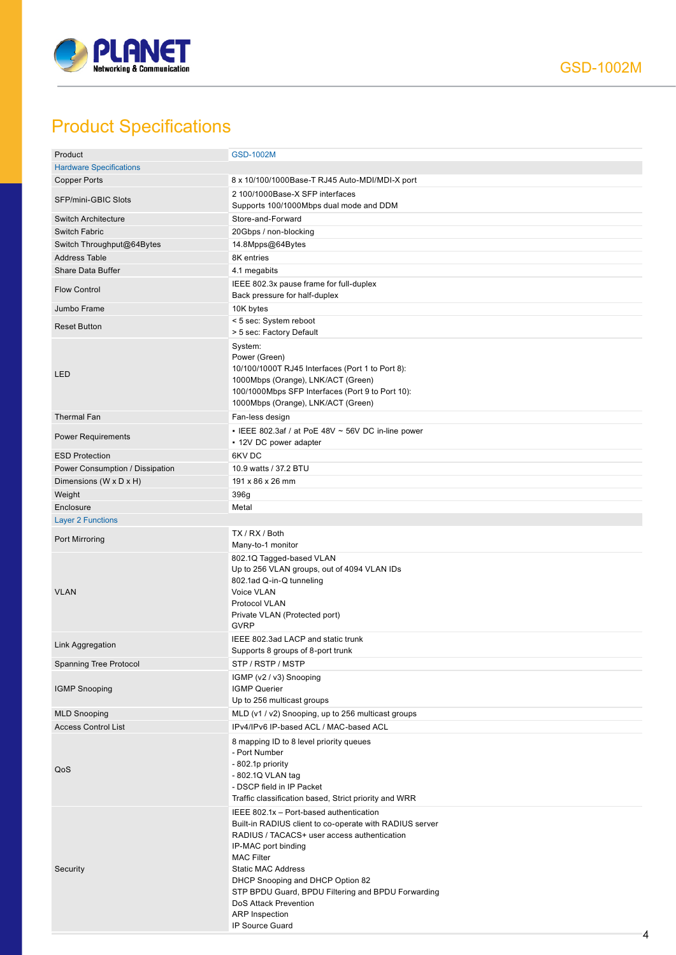

## Product Specifications

| Product                         | <b>GSD-1002M</b>                                                                                                                                                                                                                                                                                                                                                                          |
|---------------------------------|-------------------------------------------------------------------------------------------------------------------------------------------------------------------------------------------------------------------------------------------------------------------------------------------------------------------------------------------------------------------------------------------|
| <b>Hardware Specifications</b>  |                                                                                                                                                                                                                                                                                                                                                                                           |
| <b>Copper Ports</b>             | 8 x 10/100/1000Base-T RJ45 Auto-MDI/MDI-X port                                                                                                                                                                                                                                                                                                                                            |
|                                 | 2 100/1000Base-X SFP interfaces                                                                                                                                                                                                                                                                                                                                                           |
| SFP/mini-GBIC Slots             | Supports 100/1000Mbps dual mode and DDM                                                                                                                                                                                                                                                                                                                                                   |
| <b>Switch Architecture</b>      | Store-and-Forward                                                                                                                                                                                                                                                                                                                                                                         |
|                                 |                                                                                                                                                                                                                                                                                                                                                                                           |
| Switch Fabric                   | 20Gbps / non-blocking                                                                                                                                                                                                                                                                                                                                                                     |
| Switch Throughput@64Bytes       | 14.8Mpps@64Bytes                                                                                                                                                                                                                                                                                                                                                                          |
| <b>Address Table</b>            | 8K entries                                                                                                                                                                                                                                                                                                                                                                                |
| <b>Share Data Buffer</b>        | 4.1 megabits                                                                                                                                                                                                                                                                                                                                                                              |
|                                 |                                                                                                                                                                                                                                                                                                                                                                                           |
| <b>Flow Control</b>             | IEEE 802.3x pause frame for full-duplex<br>Back pressure for half-duplex                                                                                                                                                                                                                                                                                                                  |
| Jumbo Frame                     | 10K bytes                                                                                                                                                                                                                                                                                                                                                                                 |
|                                 | < 5 sec: System reboot                                                                                                                                                                                                                                                                                                                                                                    |
| <b>Reset Button</b>             | > 5 sec: Factory Default                                                                                                                                                                                                                                                                                                                                                                  |
| LED                             | System:<br>Power (Green)<br>10/100/1000T RJ45 Interfaces (Port 1 to Port 8):<br>1000Mbps (Orange), LNK/ACT (Green)<br>100/1000Mbps SFP Interfaces (Port 9 to Port 10):<br>1000Mbps (Orange), LNK/ACT (Green)                                                                                                                                                                              |
| <b>Thermal Fan</b>              | Fan-less design                                                                                                                                                                                                                                                                                                                                                                           |
| <b>Power Requirements</b>       | - IEEE 802.3af / at PoE 48V $\sim$ 56V DC in-line power<br>• 12V DC power adapter                                                                                                                                                                                                                                                                                                         |
| <b>ESD Protection</b>           | 6KV DC                                                                                                                                                                                                                                                                                                                                                                                    |
|                                 |                                                                                                                                                                                                                                                                                                                                                                                           |
| Power Consumption / Dissipation | 10.9 watts / 37.2 BTU                                                                                                                                                                                                                                                                                                                                                                     |
| Dimensions (W x D x H)          | 191 x 86 x 26 mm                                                                                                                                                                                                                                                                                                                                                                          |
| Weight                          | 396g                                                                                                                                                                                                                                                                                                                                                                                      |
| Enclosure                       | Metal                                                                                                                                                                                                                                                                                                                                                                                     |
| <b>Layer 2 Functions</b>        |                                                                                                                                                                                                                                                                                                                                                                                           |
|                                 |                                                                                                                                                                                                                                                                                                                                                                                           |
| Port Mirroring                  | TX / RX / Both<br>Many-to-1 monitor                                                                                                                                                                                                                                                                                                                                                       |
| <b>VLAN</b>                     | 802.1Q Tagged-based VLAN<br>Up to 256 VLAN groups, out of 4094 VLAN IDs<br>802.1ad Q-in-Q tunneling<br>Voice VLAN<br>Protocol VLAN<br>Private VLAN (Protected port)<br><b>GVRP</b>                                                                                                                                                                                                        |
| Link Aggregation                | IEEE 802.3ad LACP and static trunk<br>Supports 8 groups of 8-port trunk                                                                                                                                                                                                                                                                                                                   |
| Spanning Tree Protocol          | STP / RSTP / MSTP                                                                                                                                                                                                                                                                                                                                                                         |
| <b>IGMP Snooping</b>            | IGMP (v2 / v3) Snooping<br><b>IGMP Querier</b><br>Up to 256 multicast groups                                                                                                                                                                                                                                                                                                              |
| <b>MLD Snooping</b>             | MLD (v1 / v2) Snooping, up to 256 multicast groups                                                                                                                                                                                                                                                                                                                                        |
| <b>Access Control List</b>      | IPv4/IPv6 IP-based ACL / MAC-based ACL                                                                                                                                                                                                                                                                                                                                                    |
|                                 |                                                                                                                                                                                                                                                                                                                                                                                           |
| QoS                             | 8 mapping ID to 8 level priority queues<br>- Port Number<br>- 802.1p priority<br>- 802.1Q VLAN tag<br>- DSCP field in IP Packet<br>Traffic classification based, Strict priority and WRR                                                                                                                                                                                                  |
| Security                        | IEEE 802.1x - Port-based authentication<br>Built-in RADIUS client to co-operate with RADIUS server<br>RADIUS / TACACS+ user access authentication<br>IP-MAC port binding<br><b>MAC Filter</b><br><b>Static MAC Address</b><br>DHCP Snooping and DHCP Option 82<br>STP BPDU Guard, BPDU Filtering and BPDU Forwarding<br>DoS Attack Prevention<br><b>ARP</b> Inspection<br>IP Source Guard |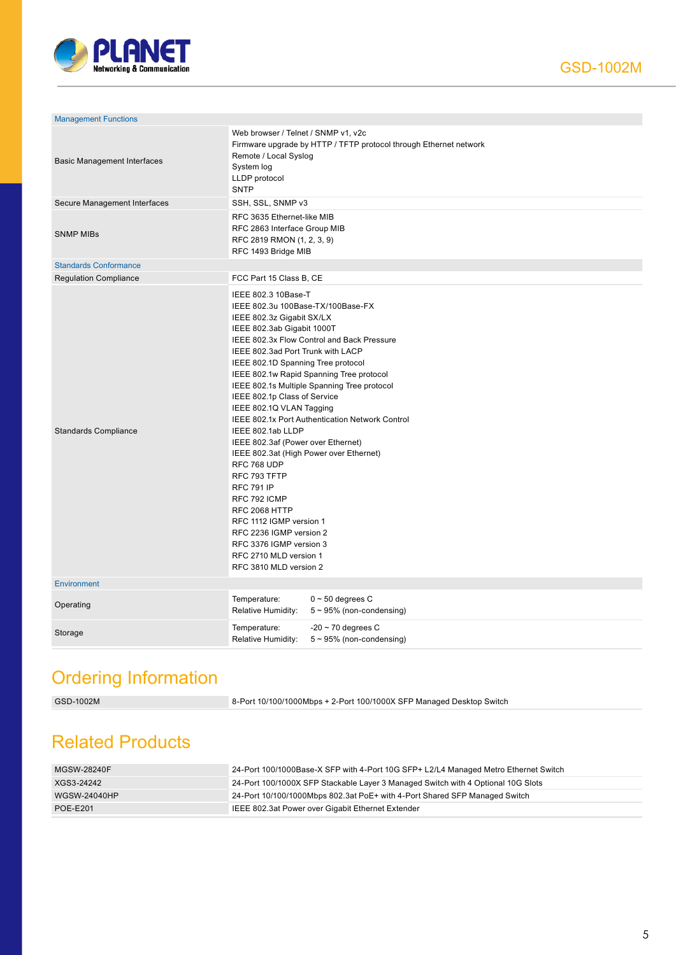

| <b>Management Functions</b>        |                                                                                                                                                                                                                                                                                                                                                                                                                                                                                                                                                                                                                                                                                                                                                                                        |
|------------------------------------|----------------------------------------------------------------------------------------------------------------------------------------------------------------------------------------------------------------------------------------------------------------------------------------------------------------------------------------------------------------------------------------------------------------------------------------------------------------------------------------------------------------------------------------------------------------------------------------------------------------------------------------------------------------------------------------------------------------------------------------------------------------------------------------|
| <b>Basic Management Interfaces</b> | Web browser / Telnet / SNMP v1, v2c<br>Firmware upgrade by HTTP / TFTP protocol through Ethernet network<br>Remote / Local Syslog<br>System log<br>LLDP protocol<br><b>SNTP</b>                                                                                                                                                                                                                                                                                                                                                                                                                                                                                                                                                                                                        |
| Secure Management Interfaces       | SSH, SSL, SNMP v3                                                                                                                                                                                                                                                                                                                                                                                                                                                                                                                                                                                                                                                                                                                                                                      |
| <b>SNMP MIBs</b>                   | RFC 3635 Ethernet-like MIB<br>RFC 2863 Interface Group MIB<br>RFC 2819 RMON (1, 2, 3, 9)<br>RFC 1493 Bridge MIB                                                                                                                                                                                                                                                                                                                                                                                                                                                                                                                                                                                                                                                                        |
| <b>Standards Conformance</b>       |                                                                                                                                                                                                                                                                                                                                                                                                                                                                                                                                                                                                                                                                                                                                                                                        |
| <b>Regulation Compliance</b>       | FCC Part 15 Class B, CE                                                                                                                                                                                                                                                                                                                                                                                                                                                                                                                                                                                                                                                                                                                                                                |
| <b>Standards Compliance</b>        | IEEE 802.3 10Base-T<br>IEEE 802.3u 100Base-TX/100Base-FX<br>IEEE 802.3z Gigabit SX/LX<br>IEEE 802.3ab Gigabit 1000T<br>IEEE 802.3x Flow Control and Back Pressure<br>IEEE 802.3ad Port Trunk with LACP<br>IEEE 802.1D Spanning Tree protocol<br>IEEE 802.1w Rapid Spanning Tree protocol<br>IEEE 802.1s Multiple Spanning Tree protocol<br>IEEE 802.1p Class of Service<br>IEEE 802.1Q VLAN Tagging<br>IEEE 802.1x Port Authentication Network Control<br>IEEE 802.1ab LLDP<br>IEEE 802.3af (Power over Ethernet)<br>IEEE 802.3at (High Power over Ethernet)<br>RFC 768 UDP<br>RFC 793 TFTP<br><b>RFC 791 IP</b><br>RFC 792 ICMP<br>RFC 2068 HTTP<br>RFC 1112 IGMP version 1<br>RFC 2236 IGMP version 2<br>RFC 3376 IGMP version 3<br>RFC 2710 MLD version 1<br>RFC 3810 MLD version 2 |
| Environment                        |                                                                                                                                                                                                                                                                                                                                                                                                                                                                                                                                                                                                                                                                                                                                                                                        |
| Operating                          | Temperature:<br>$0 \sim 50$ degrees C<br>Relative Humidity:<br>$5 \sim 95\%$ (non-condensing)                                                                                                                                                                                                                                                                                                                                                                                                                                                                                                                                                                                                                                                                                          |
| Storage                            | Temperature:<br>$-20 \sim 70$ degrees C<br>Relative Humidity:<br>$5 \sim 95\%$ (non-condensing)                                                                                                                                                                                                                                                                                                                                                                                                                                                                                                                                                                                                                                                                                        |

## Ordering Information

GSD-1002M 8-Port 10/100/1000Mbps + 2-Port 100/1000X SFP Managed Desktop Switch

## Related Products

| MGSW-28240F     | 24-Port 100/1000Base-X SFP with 4-Port 10G SFP+ L2/L4 Managed Metro Ethernet Switch |
|-----------------|-------------------------------------------------------------------------------------|
| XGS3-24242      | 24-Port 100/1000X SFP Stackable Layer 3 Managed Switch with 4 Optional 10G Slots    |
| WGSW-24040HP    | 24-Port 10/100/1000Mbps 802.3at PoE+ with 4-Port Shared SFP Managed Switch          |
| <b>POE-E201</b> | IEEE 802.3at Power over Gigabit Ethernet Extender                                   |